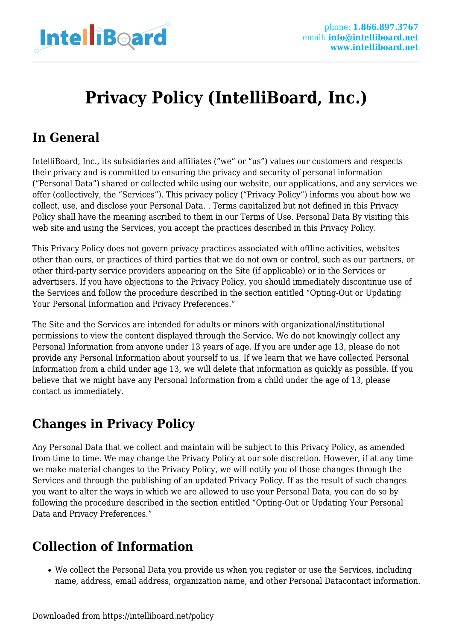

# **Privacy Policy (IntelliBoard, Inc.)**

### **In General**

IntelliBoard, Inc., its subsidiaries and affiliates ("we" or "us") values our customers and respects their privacy and is committed to ensuring the privacy and security of personal information ("Personal Data") shared or collected while using our website, our applications, and any services we offer (collectively, the "Services"). This privacy policy ("Privacy Policy") informs you about how we collect, use, and disclose your Personal Data. . Terms capitalized but not defined in this Privacy Policy shall have the meaning ascribed to them in our Terms of Use. Personal Data By visiting this web site and using the Services, you accept the practices described in this Privacy Policy.

This Privacy Policy does not govern privacy practices associated with offline activities, websites other than ours, or practices of third parties that we do not own or control, such as our partners, or other third-party service providers appearing on the Site (if applicable) or in the Services or advertisers. If you have objections to the Privacy Policy, you should immediately discontinue use of the Services and follow the procedure described in the section entitled "Opting-Out or Updating Your Personal Information and Privacy Preferences."

The Site and the Services are intended for adults or minors with organizational/institutional permissions to view the content displayed through the Service. We do not knowingly collect any Personal Information from anyone under 13 years of age. If you are under age 13, please do not provide any Personal Information about yourself to us. If we learn that we have collected Personal Information from a child under age 13, we will delete that information as quickly as possible. If you believe that we might have any Personal Information from a child under the age of 13, please contact us immediately.

#### **Changes in Privacy Policy**

Any Personal Data that we collect and maintain will be subject to this Privacy Policy, as amended from time to time. We may change the Privacy Policy at our sole discretion. However, if at any time we make material changes to the Privacy Policy, we will notify you of those changes through the Services and through the publishing of an updated Privacy Policy. If as the result of such changes you want to alter the ways in which we are allowed to use your Personal Data, you can do so by following the procedure described in the section entitled "Opting-Out or Updating Your Personal Data and Privacy Preferences."

# **Collection of Information**

We collect the Personal Data you provide us when you register or use the Services, including name, address, email address, organization name, and other Personal Datacontact information.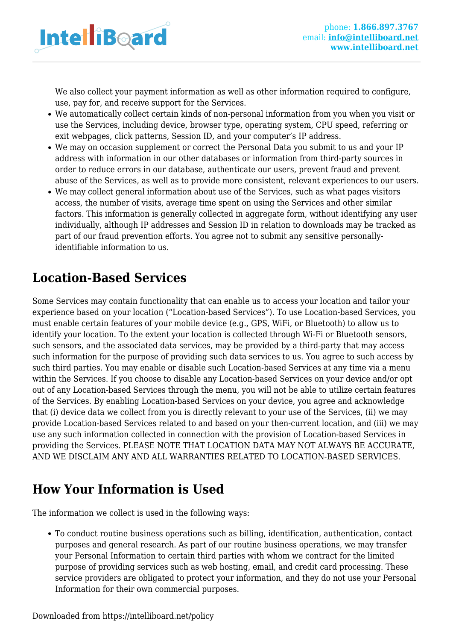

We also collect your payment information as well as other information required to configure, use, pay for, and receive support for the Services.

- We automatically collect certain kinds of non-personal information from you when you visit or use the Services, including device, browser type, operating system, CPU speed, referring or exit webpages, click patterns, Session ID, and your computer's IP address.
- We may on occasion supplement or correct the Personal Data you submit to us and your IP address with information in our other databases or information from third-party sources in order to reduce errors in our database, authenticate our users, prevent fraud and prevent abuse of the Services, as well as to provide more consistent, relevant experiences to our users.
- We may collect general information about use of the Services, such as what pages visitors access, the number of visits, average time spent on using the Services and other similar factors. This information is generally collected in aggregate form, without identifying any user individually, although IP addresses and Session ID in relation to downloads may be tracked as part of our fraud prevention efforts. You agree not to submit any sensitive personallyidentifiable information to us.

#### **Location-Based Services**

Some Services may contain functionality that can enable us to access your location and tailor your experience based on your location ("Location-based Services"). To use Location-based Services, you must enable certain features of your mobile device (e.g., GPS, WiFi, or Bluetooth) to allow us to identify your location. To the extent your location is collected through Wi-Fi or Bluetooth sensors, such sensors, and the associated data services, may be provided by a third-party that may access such information for the purpose of providing such data services to us. You agree to such access by such third parties. You may enable or disable such Location-based Services at any time via a menu within the Services. If you choose to disable any Location-based Services on your device and/or opt out of any Location-based Services through the menu, you will not be able to utilize certain features of the Services. By enabling Location-based Services on your device, you agree and acknowledge that (i) device data we collect from you is directly relevant to your use of the Services, (ii) we may provide Location-based Services related to and based on your then-current location, and (iii) we may use any such information collected in connection with the provision of Location-based Services in providing the Services. PLEASE NOTE THAT LOCATION DATA MAY NOT ALWAYS BE ACCURATE, AND WE DISCLAIM ANY AND ALL WARRANTIES RELATED TO LOCATION-BASED SERVICES.

# **How Your Information is Used**

The information we collect is used in the following ways:

To conduct routine business operations such as billing, identification, authentication, contact purposes and general research. As part of our routine business operations, we may transfer your Personal Information to certain third parties with whom we contract for the limited purpose of providing services such as web hosting, email, and credit card processing. These service providers are obligated to protect your information, and they do not use your Personal Information for their own commercial purposes.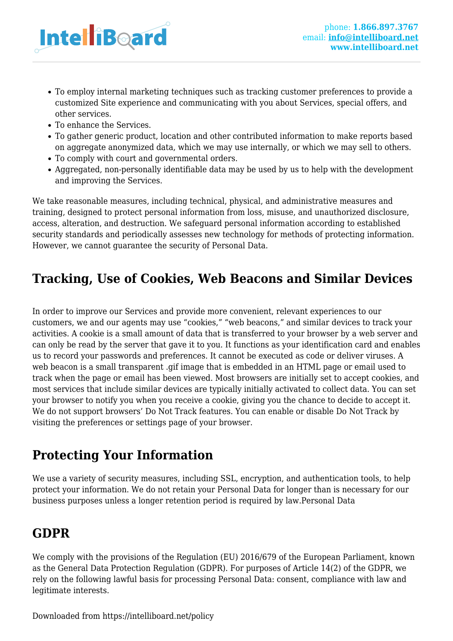

- To employ internal marketing techniques such as tracking customer preferences to provide a customized Site experience and communicating with you about Services, special offers, and other services.
- To enhance the Services.
- To gather generic product, location and other contributed information to make reports based on aggregate anonymized data, which we may use internally, or which we may sell to others.
- To comply with court and governmental orders.
- Aggregated, non-personally identifiable data may be used by us to help with the development and improving the Services.

We take reasonable measures, including technical, physical, and administrative measures and training, designed to protect personal information from loss, misuse, and unauthorized disclosure, access, alteration, and destruction. We safeguard personal information according to established security standards and periodically assesses new technology for methods of protecting information. However, we cannot guarantee the security of Personal Data.

# **Tracking, Use of Cookies, Web Beacons and Similar Devices**

In order to improve our Services and provide more convenient, relevant experiences to our customers, we and our agents may use "cookies," "web beacons," and similar devices to track your activities. A cookie is a small amount of data that is transferred to your browser by a web server and can only be read by the server that gave it to you. It functions as your identification card and enables us to record your passwords and preferences. It cannot be executed as code or deliver viruses. A web beacon is a small transparent .gif image that is embedded in an HTML page or email used to track when the page or email has been viewed. Most browsers are initially set to accept cookies, and most services that include similar devices are typically initially activated to collect data. You can set your browser to notify you when you receive a cookie, giving you the chance to decide to accept it. We do not support browsers' Do Not Track features. You can enable or disable Do Not Track by visiting the preferences or settings page of your browser.

# **Protecting Your Information**

We use a variety of security measures, including SSL, encryption, and authentication tools, to help protect your information. We do not retain your Personal Data for longer than is necessary for our business purposes unless a longer retention period is required by law.Personal Data

#### **GDPR**

We comply with the provisions of the Regulation (EU) 2016/679 of the European Parliament, known as the General Data Protection Regulation (GDPR). For purposes of Article 14(2) of the GDPR, we rely on the following lawful basis for processing Personal Data: consent, compliance with law and legitimate interests.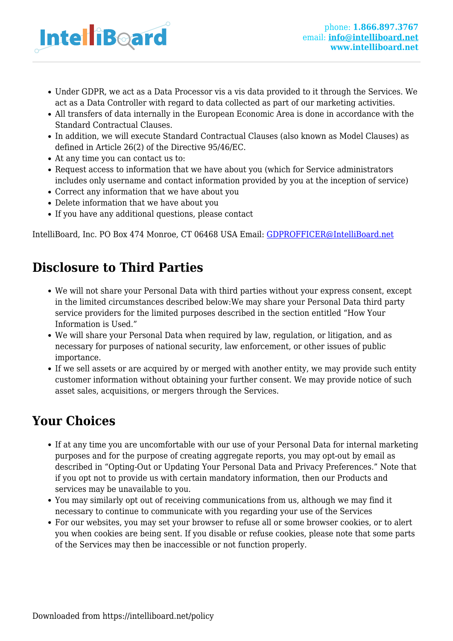

- Under GDPR, we act as a Data Processor vis a vis data provided to it through the Services. We act as a Data Controller with regard to data collected as part of our marketing activities.
- All transfers of data internally in the European Economic Area is done in accordance with the Standard Contractual Clauses.
- In addition, we will execute Standard Contractual Clauses (also known as Model Clauses) as defined in Article 26(2) of the Directive 95/46/EC.
- At any time you can contact us to:
- Request access to information that we have about you (which for Service administrators includes only username and contact information provided by you at the inception of service)
- Correct any information that we have about you
- Delete information that we have about you
- If you have any additional questions, please contact

IntelliBoard, Inc. PO Box 474 Monroe, CT 06468 USA Email: [GDPROFFICER@IntelliBoard.net](mailto:GDPROFFICER@IntelliBoard.net)

### **Disclosure to Third Parties**

- We will not share your Personal Data with third parties without your express consent, except in the limited circumstances described below:We may share your Personal Data third party service providers for the limited purposes described in the section entitled "How Your Information is Used."
- We will share your Personal Data when required by law, regulation, or litigation, and as necessary for purposes of national security, law enforcement, or other issues of public importance.
- If we sell assets or are acquired by or merged with another entity, we may provide such entity customer information without obtaining your further consent. We may provide notice of such asset sales, acquisitions, or mergers through the Services.

#### **Your Choices**

- If at any time you are uncomfortable with our use of your Personal Data for internal marketing purposes and for the purpose of creating aggregate reports, you may opt-out by email as described in "Opting-Out or Updating Your Personal Data and Privacy Preferences." Note that if you opt not to provide us with certain mandatory information, then our Products and services may be unavailable to you.
- You may similarly opt out of receiving communications from us, although we may find it necessary to continue to communicate with you regarding your use of the Services
- For our websites, you may set your browser to refuse all or some browser cookies, or to alert you when cookies are being sent. If you disable or refuse cookies, please note that some parts of the Services may then be inaccessible or not function properly.